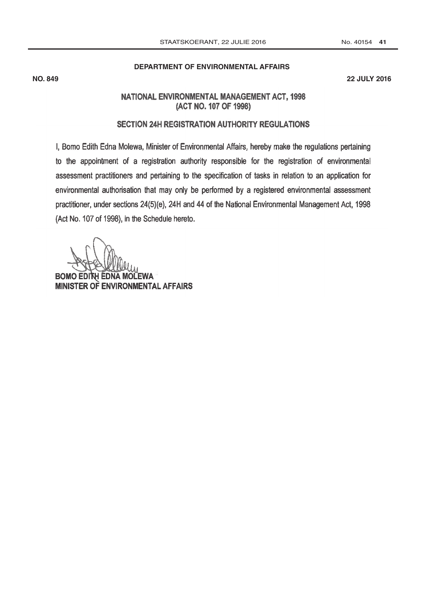#### No. 40154 41

## DEPARTMENT OF ENVIRONMENTAL AFFAIRS

**NO. 849** 

**22 JULY 2016** 

## NATIONAL ENVIRONMENTAL MANAGEMENT ACT, 1998 (ACT NO. 107 OF 1998)

## SECTION 24H REGISTRATION AUTHORITY REGULATIONS

I, Bomo Edith Edna Molewa, Minister of Environmental Affairs, hereby make the regulations pertaining to the appointment of a registration authority responsible for the registration of environmental assessment practitioners and pertaining to the specification of tasks in relation to an application for environmental authorisation that may only be performed by a registered environmental assessment practitioner, under sections 24(5)(e), 24H and 44 of the National Environmental Management Act, 1998 (Act No. 107 of 1998), in the Schedule hereto.

**BOMO EDIT EWA** H EDNA MOI **MINISTER OF ENVIRONMENTAL AFFAIRS**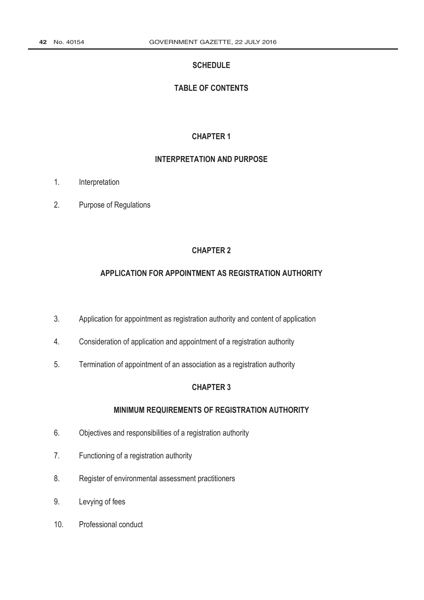### **SCHEDULE**

## **TABLE OF CONTENTS**

### **CHAPTER 1**

### **INTERPRETATION AND PURPOSE**

- $1.$ Interpretation
- $2.$ Purpose of Regulations

### **CHAPTER 2**

## APPLICATION FOR APPOINTMENT AS REGISTRATION AUTHORITY

- $3.$ Application for appointment as registration authority and content of application
- $4.$ Consideration of application and appointment of a registration authority
- 5. Termination of appointment of an association as a registration authority

## **CHAPTER 3**

## MINIMUM REQUIREMENTS OF REGISTRATION AUTHORITY

- $6.$ Objectives and responsibilities of a registration authority
- $7.$ Functioning of a registration authority
- 8. Register of environmental assessment practitioners
- 9. Levying of fees
- $10.$ Professional conduct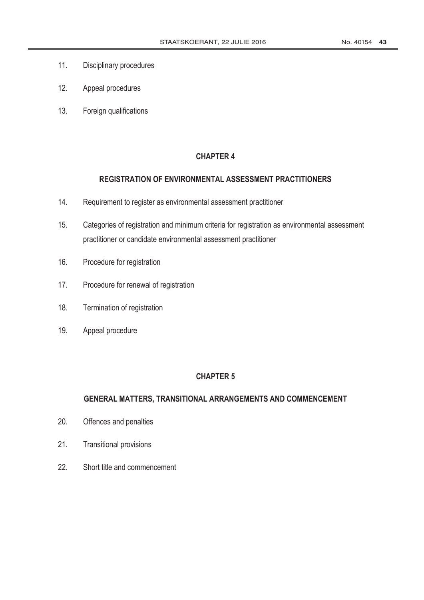- $11.$ Disciplinary procedures
- $12.$ Appeal procedures
- $13.$ Foreign qualifications

## REGISTRATION OF ENVIRONMENTAL ASSESSMENT PRACTITIONERS

- $14.$ Requirement to register as environmental assessment practitioner
- $15.$ Categories of registration and minimum criteria for registration as environmental assessment practitioner or candidate environmental assessment practitioner
- $16.$ Procedure for registration
- $17.$ Procedure for renewal of registration
- 18. Termination of registration
- 19. Appeal procedure

### **CHAPTER 5**

## GENERAL MATTERS, TRANSITIONAL ARRANGEMENTS AND COMMENCEMENT

- $20.$ Offences and penalties
- $21.$ **Transitional provisions**
- $22.$ Short title and commencement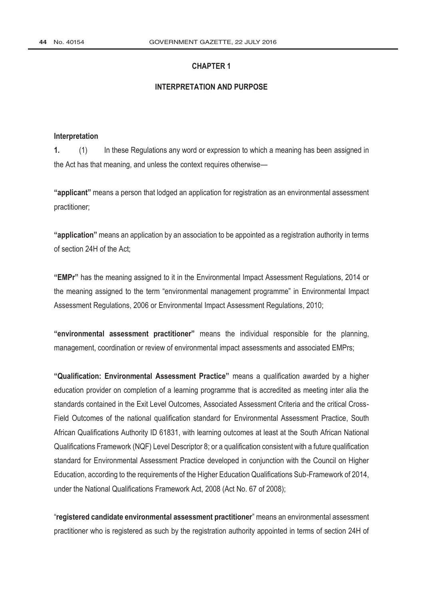#### **INTERPRETATION AND PURPOSE**

#### Interpretation

 $\mathbf{1}$ .  $(1)$ In these Regulations any word or expression to which a meaning has been assigned in the Act has that meaning, and unless the context requires otherwise-

"applicant" means a person that lodged an application for registration as an environmental assessment practitioner:

"application" means an application by an association to be appointed as a registration authority in terms of section 24H of the Act:

"EMPr" has the meaning assigned to it in the Environmental Impact Assessment Regulations, 2014 or the meaning assigned to the term "environmental management programme" in Environmental Impact Assessment Regulations, 2006 or Environmental Impact Assessment Regulations, 2010;

"environmental assessment practitioner" means the individual responsible for the planning, management, coordination or review of environmental impact assessments and associated EMPrs:

"Qualification: Environmental Assessment Practice" means a qualification awarded by a higher education provider on completion of a learning programme that is accredited as meeting inter alia the standards contained in the Exit Level Outcomes, Associated Assessment Criteria and the critical Cross-Field Outcomes of the national qualification standard for Environmental Assessment Practice, South African Qualifications Authority ID 61831, with learning outcomes at least at the South African National Qualifications Framework (NQF) Level Descriptor 8; or a qualification consistent with a future qualification standard for Environmental Assessment Practice developed in conjunction with the Council on Higher Education, according to the requirements of the Higher Education Qualifications Sub-Framework of 2014, under the National Qualifications Framework Act, 2008 (Act No. 67 of 2008);

"registered candidate environmental assessment practitioner" means an environmental assessment practitioner who is registered as such by the registration authority appointed in terms of section 24H of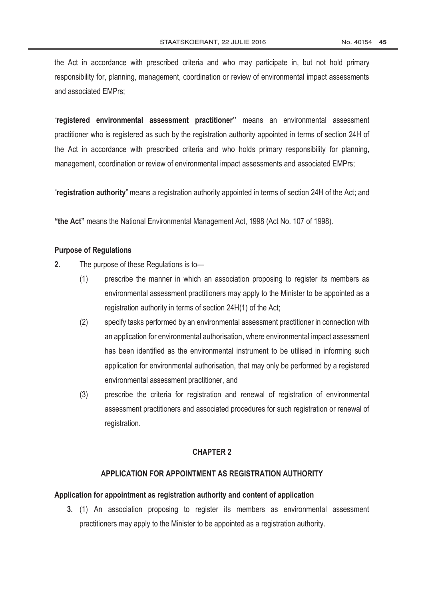the Act in accordance with prescribed criteria and who may participate in, but not hold primary responsibility for, planning, management, coordination or review of environmental impact assessments and associated EMPrs:

"registered environmental assessment practitioner" means an environmental assessment practitioner who is registered as such by the registration authority appointed in terms of section 24H of the Act in accordance with prescribed criteria and who holds primary responsibility for planning, management, coordination or review of environmental impact assessments and associated EMPrs;

"registration authority" means a registration authority appointed in terms of section 24H of the Act: and

"the Act" means the National Environmental Management Act, 1998 (Act No. 107 of 1998).

#### **Purpose of Regulations**

- $2.$ The purpose of these Regulations is to-
	- $(1)$ prescribe the manner in which an association proposing to register its members as environmental assessment practitioners may apply to the Minister to be appointed as a registration authority in terms of section 24H(1) of the Act;
	- $(2)$ specify tasks performed by an environmental assessment practitioner in connection with an application for environmental authorisation, where environmental impact assessment has been identified as the environmental instrument to be utilised in informing such application for environmental authorisation, that may only be performed by a registered environmental assessment practitioner, and
	- $(3)$ prescribe the criteria for registration and renewal of registration of environmental assessment practitioners and associated procedures for such registration or renewal of registration.

### **CHAPTER 2**

## APPLICATION FOR APPOINTMENT AS REGISTRATION AUTHORITY

#### Application for appointment as registration authority and content of application

3. (1) An association proposing to register its members as environmental assessment practitioners may apply to the Minister to be appointed as a registration authority.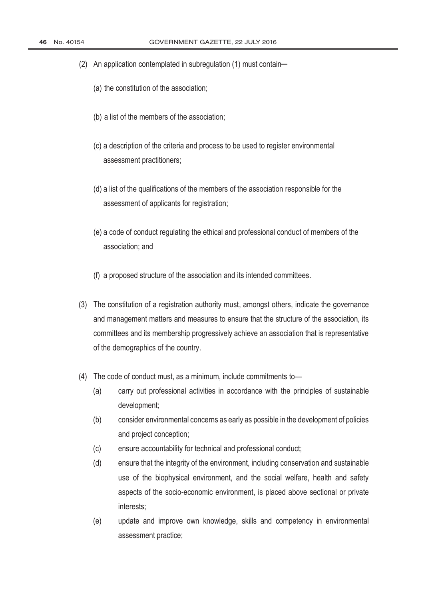- (2) An application contemplated in subregulation (1) must contain-
	- (a) the constitution of the association;
	- (b) a list of the members of the association;
	- (c) a description of the criteria and process to be used to register environmental assessment practitioners:
	- (d) a list of the qualifications of the members of the association responsible for the assessment of applicants for registration;
	- (e) a code of conduct regulating the ethical and professional conduct of members of the association: and
	- (f) a proposed structure of the association and its intended committees.
- (3) The constitution of a registration authority must, amongst others, indicate the governance and management matters and measures to ensure that the structure of the association, its committees and its membership progressively achieve an association that is representative of the demographics of the country.
- (4) The code of conduct must, as a minimum, include commitments to-
	- $(a)$ carry out professional activities in accordance with the principles of sustainable development;
	- $(b)$ consider environmental concerns as early as possible in the development of policies and project conception;
	- $(c)$ ensure accountability for technical and professional conduct;
	- $(d)$ ensure that the integrity of the environment, including conservation and sustainable use of the biophysical environment, and the social welfare, health and safety aspects of the socio-economic environment, is placed above sectional or private interests:
	- $(e)$ update and improve own knowledge, skills and competency in environmental assessment practice: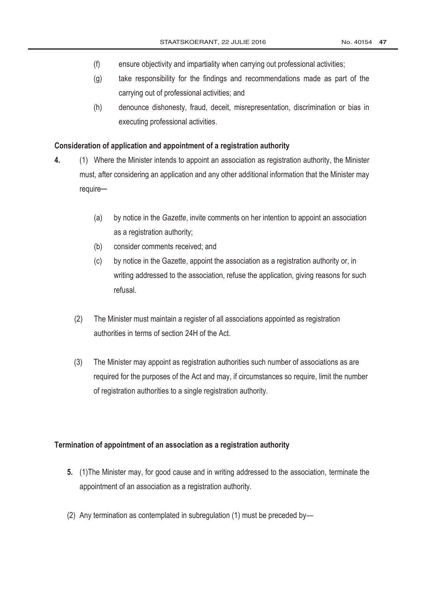- $(f)$ ensure objectivity and impartiality when carrying out professional activities;
- $(q)$ take responsibility for the findings and recommendations made as part of the carrying out of professional activities; and
- $(h)$ denounce dishonesty, fraud, deceit, misrepresentation, discrimination or bias in executing professional activities.

### Consideration of application and appointment of a registration authority

- $\overline{4}$ . (1) Where the Minister intends to appoint an association as registration authority, the Minister must, after considering an application and any other additional information that the Minister may require
	- by notice in the Gazette, invite comments on her intention to appoint an association  $(a)$ as a registration authority;
	- consider comments received; and  $(b)$
	- $(c)$ by notice in the Gazette, appoint the association as a registration authority or, in writing addressed to the association, refuse the application, giving reasons for such refusal.
	- $(2)$ The Minister must maintain a register of all associations appointed as registration authorities in terms of section 24H of the Act.
	- $(3)$ The Minister may appoint as registration authorities such number of associations as are required for the purposes of the Act and may, if circumstances so require, limit the number of registration authorities to a single registration authority.

### Termination of appointment of an association as a registration authority

- 5. (1) The Minister may, for good cause and in writing addressed to the association, terminate the appointment of an association as a registration authority.
- (2) Any termination as contemplated in subregulation (1) must be preceded by-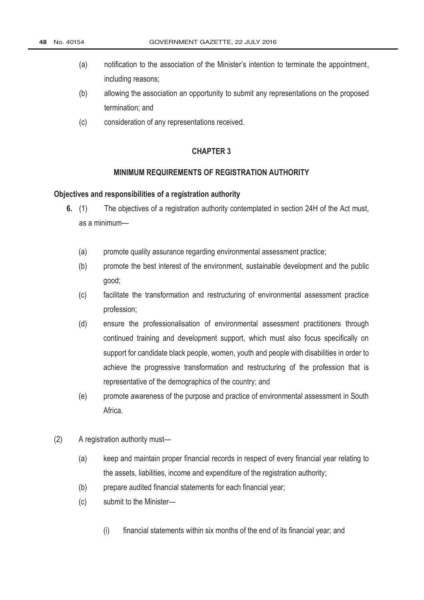- notification to the association of the Minister's intention to terminate the appointment,  $(a)$ including reasons:
- $(b)$ allowing the association an opportunity to submit any representations on the proposed termination: and
- $(c)$ consideration of any representations received.

#### MINIMUM REQUIREMENTS OF REGISTRATION AUTHORITY

#### Objectives and responsibilities of a registration authority

- 6.  $(1)$ The objectives of a registration authority contemplated in section 24H of the Act must, as a minimum-
	- $(a)$ promote quality assurance regarding environmental assessment practice;
	- $(b)$ promote the best interest of the environment, sustainable development and the public good:
	- $(c)$ facilitate the transformation and restructuring of environmental assessment practice profession:
	- $(d)$ ensure the professionalisation of environmental assessment practitioners through continued training and development support, which must also focus specifically on support for candidate black people, women, youth and people with disabilities in order to achieve the progressive transformation and restructuring of the profession that is representative of the demographics of the country; and
	- $(e)$ promote awareness of the purpose and practice of environmental assessment in South Africa
- $(2)$ A registration authority must-
	- $(a)$ keep and maintain proper financial records in respect of every financial year relating to the assets, liabilities, income and expenditure of the registration authority;
	- $(b)$ prepare audited financial statements for each financial year;
	- $(c)$ submit to the Minister-
		- $(i)$ financial statements within six months of the end of its financial year; and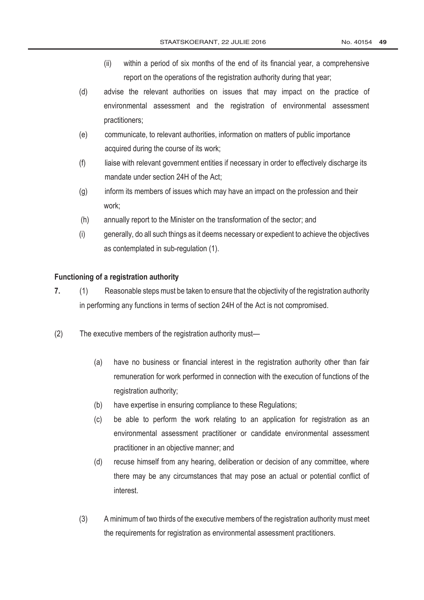- within a period of six months of the end of its financial year, a comprehensive  $(ii)$ report on the operations of the registration authority during that year;
- $(d)$ advise the relevant authorities on issues that may impact on the practice of environmental assessment and the registration of environmental assessment practitioners;
- communicate, to relevant authorities, information on matters of public importance  $(e)$ acquired during the course of its work;
- $(f)$ liaise with relevant government entities if necessary in order to effectively discharge its mandate under section 24H of the Act:
- inform its members of issues which may have an impact on the profession and their  $(a)$ work:
- $(h)$ annually report to the Minister on the transformation of the sector; and
- $(i)$ generally, do all such things as it deems necessary or expedient to achieve the objectives as contemplated in sub-regulation (1).

## Functioning of a registration authority

- $7<sub>1</sub>$  $(1)$ Reasonable steps must be taken to ensure that the objectivity of the registration authority in performing any functions in terms of section 24H of the Act is not compromised.
- $(2)$ The executive members of the registration authority must-
	- $(a)$ have no business or financial interest in the registration authority other than fair remuneration for work performed in connection with the execution of functions of the registration authority;
	- have expertise in ensuring compliance to these Regulations;  $(b)$
	- $(c)$ be able to perform the work relating to an application for registration as an environmental assessment practitioner or candidate environmental assessment practitioner in an objective manner; and
	- $(d)$ recuse himself from any hearing, deliberation or decision of any committee, where there may be any circumstances that may pose an actual or potential conflict of interest
	- $(3)$ A minimum of two thirds of the executive members of the registration authority must meet the requirements for registration as environmental assessment practitioners.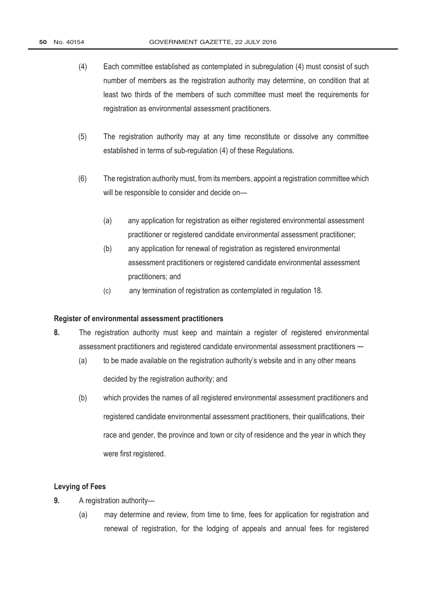- $(4)$ Each committee established as contemplated in subregulation (4) must consist of such number of members as the registration authority may determine, on condition that at least two thirds of the members of such committee must meet the requirements for registration as environmental assessment practitioners.
- $(5)$ The registration authority may at any time reconstitute or dissolve any committee established in terms of sub-regulation (4) of these Regulations.
- $(6)$ The registration authority must, from its members, appoint a registration committee which will be responsible to consider and decide on-
	- $(a)$ any application for registration as either registered environmental assessment practitioner or registered candidate environmental assessment practitioner;
	- $(b)$ any application for renewal of registration as registered environmental assessment practitioners or registered candidate environmental assessment practitioners; and
	- $(c)$ any termination of registration as contemplated in regulation 18.

### Register of environmental assessment practitioners

- 8. The registration authority must keep and maintain a register of registered environmental assessment practitioners and registered candidate environmental assessment practitioners -
	- $(a)$ to be made available on the registration authority's website and in any other means decided by the registration authority; and
	- $(b)$ which provides the names of all registered environmental assessment practitioners and registered candidate environmental assessment practitioners, their qualifications, their race and gender, the province and town or city of residence and the year in which they were first registered.

### **Levying of Fees**

- $\mathbf{q}$ A registration authority-
	- $(a)$ may determine and review, from time to time, fees for application for registration and renewal of registration, for the lodging of appeals and annual fees for registered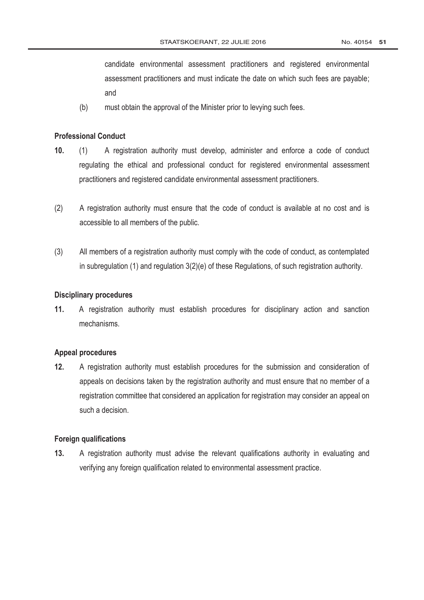candidate environmental assessment practitioners and registered environmental assessment practitioners and must indicate the date on which such fees are payable; and

 $(b)$ must obtain the approval of the Minister prior to levying such fees.

### **Professional Conduct**

- $10.$  $(1)$ A registration authority must develop, administer and enforce a code of conduct regulating the ethical and professional conduct for registered environmental assessment practitioners and registered candidate environmental assessment practitioners.
- $(2)$ A registration authority must ensure that the code of conduct is available at no cost and is accessible to all members of the public.
- $(3)$ All members of a registration authority must comply with the code of conduct, as contemplated in subregulation (1) and regulation 3(2)(e) of these Regulations, of such registration authority.

#### **Disciplinary procedures**

 $11.$ A registration authority must establish procedures for disciplinary action and sanction mechanisms.

### **Appeal procedures**

 $12.$ A registration authority must establish procedures for the submission and consideration of appeals on decisions taken by the registration authority and must ensure that no member of a registration committee that considered an application for registration may consider an appeal on such a decision.

#### **Foreign qualifications**

 $13.$ A registration authority must advise the relevant qualifications authority in evaluating and verifying any foreign qualification related to environmental assessment practice.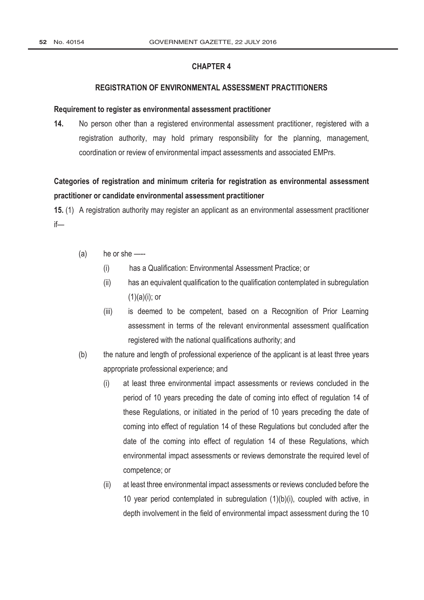### **REGISTRATION OF ENVIRONMENTAL ASSESSMENT PRACTITIONERS**

#### Requirement to register as environmental assessment practitioner

 $14.$ No person other than a registered environmental assessment practitioner, registered with a registration authority, may hold primary responsibility for the planning, management, coordination or review of environmental impact assessments and associated EMPrs.

# Categories of registration and minimum criteria for registration as environmental assessment practitioner or candidate environmental assessment practitioner

15. (1) A registration authority may register an applicant as an environmental assessment practitioner  $if$ —

- $(a)$ he or she ---
	- $(i)$ has a Qualification: Environmental Assessment Practice; or
	- $(ii)$ has an equivalent qualification to the qualification contemplated in subregulation  $(1)(a)(i)$ ; or
	- is deemed to be competent, based on a Recognition of Prior Learning  $(iii)$ assessment in terms of the relevant environmental assessment qualification registered with the national qualifications authority; and
- $(b)$ the nature and length of professional experience of the applicant is at least three years appropriate professional experience; and
	- $(i)$ at least three environmental impact assessments or reviews concluded in the period of 10 years preceding the date of coming into effect of regulation 14 of these Regulations, or initiated in the period of 10 years preceding the date of coming into effect of regulation 14 of these Regulations but concluded after the date of the coming into effect of regulation 14 of these Regulations, which environmental impact assessments or reviews demonstrate the required level of competence; or
	- $(ii)$ at least three environmental impact assessments or reviews concluded before the 10 year period contemplated in subregulation (1)(b)(i), coupled with active, in depth involvement in the field of environmental impact assessment during the 10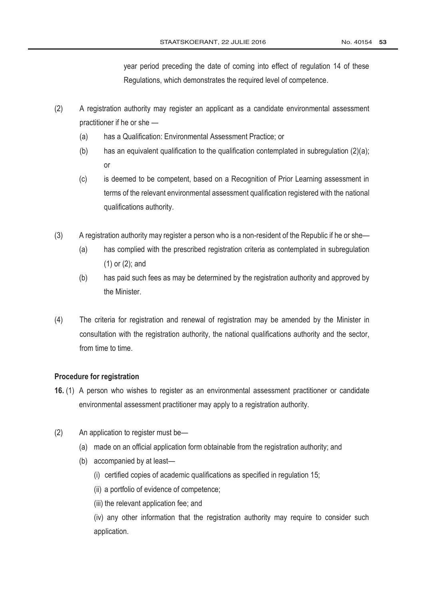year period preceding the date of coming into effect of regulation 14 of these Regulations, which demonstrates the required level of competence.

- $(2)$ A registration authority may register an applicant as a candidate environmental assessment practitioner if he or she -
	- $(a)$ has a Qualification: Environmental Assessment Practice; or
	- $(b)$ has an equivalent qualification to the qualification contemplated in subregulation (2)(a); or
	- $(c)$ is deemed to be competent, based on a Recognition of Prior Learning assessment in terms of the relevant environmental assessment qualification registered with the national qualifications authority.
- $(3)$ A registration authority may register a person who is a non-resident of the Republic if he or she—
	- $(a)$ has complied with the prescribed registration criteria as contemplated in subregulation  $(1)$  or  $(2)$ ; and
	- $(b)$ has paid such fees as may be determined by the registration authority and approved by the Minister.
- $(4)$ The criteria for registration and renewal of registration may be amended by the Minister in consultation with the registration authority, the national qualifications authority and the sector, from time to time

### **Procedure for registration**

- 16. (1) A person who wishes to register as an environmental assessment practitioner or candidate environmental assessment practitioner may apply to a registration authority.
- $(2)$ An application to register must be-
	- (a) made on an official application form obtainable from the registration authority; and
	- (b) accompanied by at least-
		- (i) certified copies of academic qualifications as specified in regulation 15;
		- (ii) a portfolio of evidence of competence;
		- (iii) the relevant application fee: and

(iv) any other information that the registration authority may require to consider such application.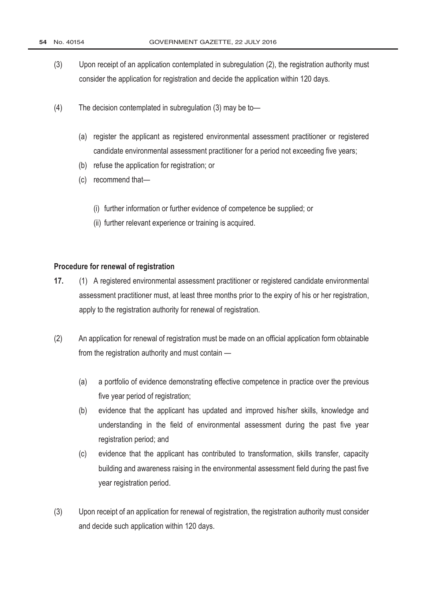- $(3)$ Upon receipt of an application contemplated in subregulation (2), the registration authority must consider the application for registration and decide the application within 120 days.
- $(4)$ The decision contemplated in subregulation (3) may be to-
	- (a) register the applicant as registered environmental assessment practitioner or registered candidate environmental assessment practitioner for a period not exceeding five years;
	- (b) refuse the application for registration; or
	- (c) recommend that-
		- (i) further information or further evidence of competence be supplied; or
		- (ii) further relevant experience or training is acquired.

### Procedure for renewal of registration

- $17.$ (1) A registered environmental assessment practitioner or registered candidate environmental assessment practitioner must, at least three months prior to the expiry of his or her registration, apply to the registration authority for renewal of registration.
- $(2)$ An application for renewal of registration must be made on an official application form obtainable from the registration authority and must contain -
	- $(a)$ a portfolio of evidence demonstrating effective competence in practice over the previous five year period of registration;
	- $(b)$ evidence that the applicant has updated and improved his/her skills, knowledge and understanding in the field of environmental assessment during the past five year registration period; and
	- $(c)$ evidence that the applicant has contributed to transformation, skills transfer, capacity building and awareness raising in the environmental assessment field during the past five year registration period.
- $(3)$ Upon receipt of an application for renewal of registration, the registration authority must consider and decide such application within 120 days.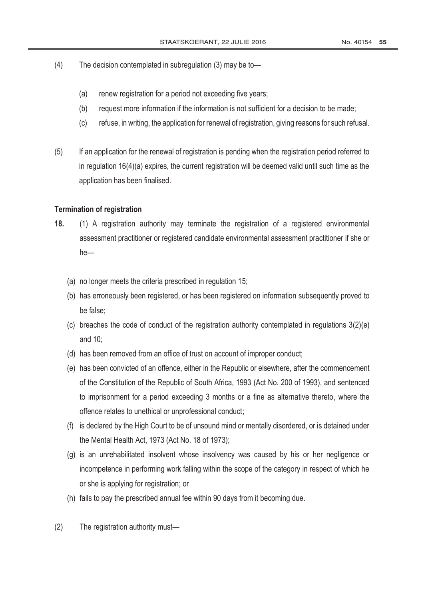- $(4)$ The decision contemplated in subregulation (3) may be to-
	- $(a)$ renew registration for a period not exceeding five years;
	- $(b)$ request more information if the information is not sufficient for a decision to be made;
	- $(c)$ refuse, in writing, the application for renewal of registration, giving reasons for such refusal.
- $(5)$ If an application for the renewal of registration is pending when the registration period referred to in regulation  $16(4)(a)$  expires, the current registration will be deemed valid until such time as the application has been finalised.

#### **Termination of registration**

- (1) A registration authority may terminate the registration of a registered environmental  $18.$ assessment practitioner or registered candidate environmental assessment practitioner if she or  $he-$ 
	- (a) no longer meets the criteria prescribed in regulation 15;
	- (b) has erroneously been registered, or has been registered on information subsequently proved to be false:
	- (c) breaches the code of conduct of the registration authority contemplated in regulations  $3(2)(e)$ and  $10$ :
	- (d) has been removed from an office of trust on account of improper conduct;
	- (e) has been convicted of an offence, either in the Republic or elsewhere, after the commencement of the Constitution of the Republic of South Africa, 1993 (Act No. 200 of 1993), and sentenced to imprisonment for a period exceeding 3 months or a fine as alternative thereto, where the offence relates to unethical or unprofessional conduct;
	- (f) is declared by the High Court to be of unsound mind or mentally disordered, or is detained under the Mental Health Act, 1973 (Act No. 18 of 1973);
	- (q) is an unrehabilitated insolvent whose insolvency was caused by his or her negligence or incompetence in performing work falling within the scope of the category in respect of which he or she is applying for registration; or
	- (h) fails to pay the prescribed annual fee within 90 days from it becoming due.
- $(2)$ The registration authority must-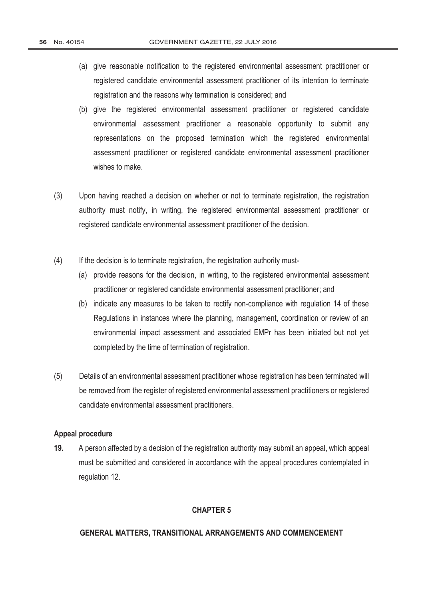- (a) give reasonable notification to the registered environmental assessment practitioner or registered candidate environmental assessment practitioner of its intention to terminate registration and the reasons why termination is considered; and
- (b) give the registered environmental assessment practitioner or registered candidate environmental assessment practitioner a reasonable opportunity to submit any representations on the proposed termination which the registered environmental assessment practitioner or registered candidate environmental assessment practitioner wishes to make.
- $(3)$ Upon having reached a decision on whether or not to terminate registration, the registration authority must notify, in writing, the registered environmental assessment practitioner or registered candidate environmental assessment practitioner of the decision.
- $(4)$ If the decision is to terminate registration, the registration authority must-
	- (a) provide reasons for the decision, in writing, to the registered environmental assessment practitioner or registered candidate environmental assessment practitioner; and
	- (b) indicate any measures to be taken to rectify non-compliance with regulation 14 of these Regulations in instances where the planning, management, coordination or review of an environmental impact assessment and associated EMPr has been initiated but not yet completed by the time of termination of registration.
- $(5)$ Details of an environmental assessment practitioner whose registration has been terminated will be removed from the register of registered environmental assessment practitioners or registered candidate environmental assessment practitioners.

#### Appeal procedure

19. A person affected by a decision of the registration authority may submit an appeal, which appeal must be submitted and considered in accordance with the appeal procedures contemplated in regulation 12.

### **CHAPTER 5**

#### GENERAL MATTERS, TRANSITIONAL ARRANGEMENTS AND COMMENCEMENT